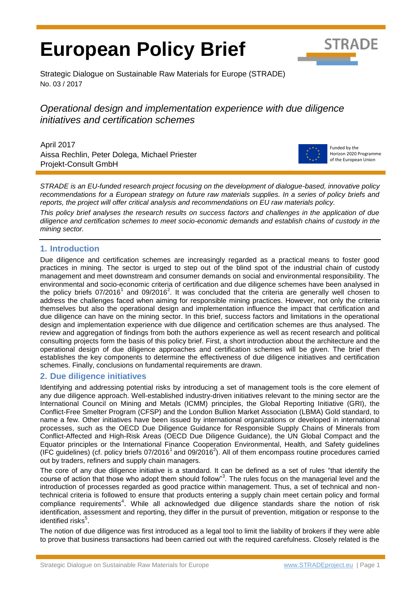# **European Policy Brief**



Strategic Dialogue on Sustainable Raw Materials for Europe (STRADE) No. 03 / 2017

## *Operational design and implementation experience with due diligence initiatives and certification schemes*

April 2017 Aissa Rechlin, Peter Dolega, Michael Priester Projekt-Consult GmbH



Funded by the Horizon 2020 Programme of the European Union

*STRADE is an EU-funded research project focusing on the development of dialogue-based, innovative policy recommendations for a European strategy on future raw materials supplies. In a series of policy briefs and reports, the project will offer critical analysis and recommendations on EU raw materials policy.* 

*This policy brief analyses the research results on success factors and challenges in the application of due diligence and certification schemes to meet socio-economic demands and establish chains of custody in the mining sector.*

## **1. Introduction**

<span id="page-0-1"></span><span id="page-0-0"></span>Due diligence and certification schemes are increasingly regarded as a practical means to foster good practices in mining. The sector is urged to step out of the blind spot of the industrial chain of custody management and meet downstream and consumer demands on social and environmental responsibility. The environmental and socio-economic criteria of certification and due diligence schemes have been analysed in the policy briefs 07/2016<sup>1</sup> and 09/2016<sup>2</sup>. It was concluded that the criteria are generally well chosen to address the challenges faced when aiming for responsible mining practices. However, not only the criteria themselves but also the operational design and implementation influence the impact that certification and due diligence can have on the mining sector. In this brief, success factors and limitations in the operational design and implementation experience with due diligence and certification schemes are thus analysed. The review and aggregation of findings from both the authors experience as well as recent research and political consulting projects form the basis of this policy brief. First, a short introduction about the architecture and the operational design of due diligence approaches and certification schemes will be given. The brief then establishes the key components to determine the effectiveness of due diligence initiatives and certification schemes. Finally, conclusions on fundamental requirements are drawn.

## **2. Due diligence initiatives**

Identifying and addressing potential risks by introducing a set of management tools is the core element of any due diligence approach. Well-established industry-driven initiatives relevant to the mining sector are the International Council on Mining and Metals (ICMM) principles, the Global Reporting Initiative (GRI), the Conflict-Free Smelter Program (CFSP) and the London Bullion Market Association (LBMA) Gold standard, to name a few. Other initiatives have been issued by international organizations or developed in international processes, such as the OECD Due Diligence Guidance for Responsible Supply Chains of Minerals from Conflict-Affected and High-Risk Areas (OECD Due Diligence Guidance), the UN Global Compact and the Equator principles or the International Finance Cooperation Environmental, Health, and Safety guidelines (IFC guidelines) (cf. policy briefs  $07/2016^1$  $07/2016^1$  $07/2016^1$  and  $09/2016^2$ ). All of them encompass routine procedures carried out by traders, refiners and supply chain managers.

The core of any due diligence initiative is a standard. It can be defined as a set of rules "that identify the course of action that those who adopt them should follow"<sup>3</sup>. The rules focus on the managerial level and the introduction of processes regarded as good practice within management. Thus, a set of technical and nontechnical criteria is followed to ensure that products entering a supply chain meet certain policy and formal compliance requirements<sup>4</sup>. While all acknowledged due diligence standards share the notion of risk identification, assessment and reporting, they differ in the pursuit of prevention, mitigation or response to the identified risks<sup>5</sup>.

<span id="page-0-2"></span>The notion of due diligence was first introduced as a legal tool to limit the liability of brokers if they were able to prove that business transactions had been carried out with the required carefulness. Closely related is the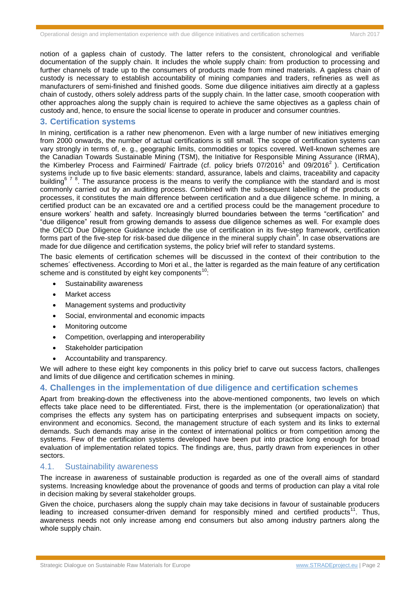notion of a gapless chain of custody. The latter refers to the consistent, chronological and verifiable documentation of the supply chain. It includes the whole supply chain: from production to processing and further channels of trade up to the consumers of products made from mined materials. A gapless chain of custody is necessary to establish accountability of mining companies and traders, refineries as well as manufacturers of semi-finished and finished goods. Some due diligence initiatives aim directly at a gapless chain of custody, others solely address parts of the supply chain. In the latter case, smooth cooperation with other approaches along the supply chain is required to achieve the same objectives as a gapless chain of custody and, hence, to ensure the social license to operate in producer and consumer countries.

#### **3. Certification systems**

<span id="page-1-1"></span>In mining, certification is a rather new phenomenon. Even with a large number of new initiatives emerging from 2000 onwards, the number of actual certifications is still small. The scope of certification systems can vary strongly in terms of, e. g., geographic limits, commodities or topics covered. Well-known schemes are the Canadian Towards Sustainable Mining (TSM), the Initiative for Responsible Mining Assurance (IRMA), the Kimberley Process and Fairmined/ Fairtrade (cf. policy briefs 07/201[6](#page-0-0)<sup>1</sup> and 09/[2](#page-0-1)016<sup>2</sup>). Certification systems include up to five basic elements: standard, assurance, labels and claims, traceability and capacity building<sup>678</sup>. The assurance process is the means to verify the compliance with the standard and is most commonly carried out by an auditing process. Combined with the subsequent labelling of the products or processes, it constitutes the main difference between certification and a due diligence scheme. In mining, a certified product can be an excavated ore and a certified process could be the management procedure to ensure workers' health and safety. Increasingly blurred boundaries between the terms "certification" and "due diligence" result from growing demands to assess due diligence schemes as well. For example does the OECD Due Diligence Guidance include the use of certification in its five-step framework, certification forms part of the five-step for risk-based due diligence in the mineral supply chain $^9$ . In case observations are made for due diligence and certification systems, the policy brief will refer to standard systems.

The basic elements of certification schemes will be discussed in the context of their contribution to the schemes´ effectiveness. According to Mori et al., the latter is regarded as the main feature of any certification scheme and is constituted by eight key components<sup>10</sup>:

- <span id="page-1-0"></span>Sustainability awareness
- Market access
- Management systems and productivity
- Social, environmental and economic impacts
- Monitoring outcome
- Competition, overlapping and interoperability
- Stakeholder participation
- Accountability and transparency.

We will adhere to these eight key components in this policy brief to carve out success factors, challenges and limits of due diligence and certification schemes in mining.

## **4. Challenges in the implementation of due diligence and certification schemes**

Apart from breaking-down the effectiveness into the above-mentioned components, two levels on which effects take place need to be differentiated. First, there is the implementation (or operationalization) that comprises the effects any system has on participating enterprises and subsequent impacts on society, environment and economics. Second, the management structure of each system and its links to external demands. Such demands may arise in the context of international politics or from competition among the systems. Few of the certification systems developed have been put into practice long enough for broad evaluation of implementation related topics. The findings are, thus, partly drawn from experiences in other sectors.

#### 4.1. Sustainability awareness

The increase in awareness of sustainable production is regarded as one of the overall aims of standard systems. Increasing knowledge about the provenance of goods and terms of production can play a vital role in decision making by several stakeholder groups.

Given the choice, purchasers along the supply chain may take decisions in favour of sustainable producers leading to increased consumer-driven demand for responsibly mined and certified products<sup>11</sup>. Thus, awareness needs not only increase among end consumers but also among industry partners along the whole supply chain.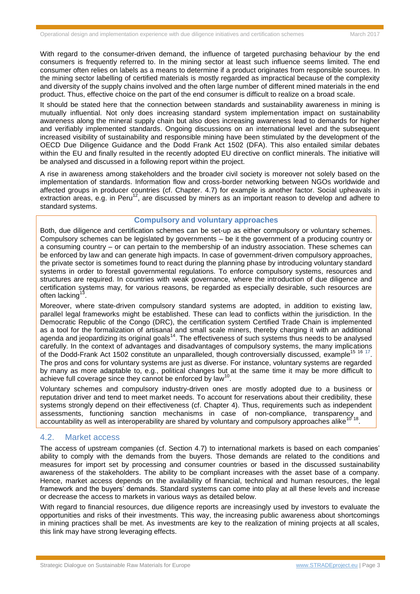With regard to the consumer-driven demand, the influence of targeted purchasing behaviour by the end consumers is frequently referred to. In the mining sector at least such influence seems limited. The end consumer often relies on labels as a means to determine if a product originates from responsible sources. In the mining sector labelling of certified materials is mostly regarded as impractical because of the complexity and diversity of the supply chains involved and the often large number of different mined materials in the end product. Thus, effective choice on the part of the end consumer is difficult to realize on a broad scale.

It should be stated here that the connection between standards and sustainability awareness in mining is mutually influential. Not only does increasing standard system implementation impact on sustainability awareness along the mineral supply chain but also does increasing awareness lead to demands for higher and verifiably implemented standards. Ongoing discussions on an international level and the subsequent increased visibility of sustainability and responsible mining have been stimulated by the development of the OECD Due Diligence Guidance and the Dodd Frank Act 1502 (DFA). This also entailed similar debates within the EU and finally resulted in the recently adopted EU directive on conflict minerals. The initiative will be analysed and discussed in a following report within the project.

A rise in awareness among stakeholders and the broader civil society is moreover not solely based on the implementation of standards. Information flow and cross-border networking between NGOs worldwide and affected groups in producer countries (cf. Chapter. 4.7) for example is another factor. Social upheavals in  $extraction$  areas, e.g. in Peru<sup>12</sup>, are discussed by miners as an important reason to develop and adhere to standard systems.

#### <span id="page-2-1"></span><span id="page-2-0"></span>**Compulsory and voluntary approaches**

Both, due diligence and certification schemes can be set-up as either compulsory or voluntary schemes. Compulsory schemes can be legislated by governments – be it the government of a producing country or a consuming country – or can pertain to the membership of an industry association. These schemes can be enforced by law and can generate high impacts. In case of government-driven compulsory approaches, the private sector is sometimes found to react during the planning phase by introducing voluntary standard systems in order to forestall governmental regulations. To enforce compulsory systems, resources and structures are required. In countries with weak governance, where the introduction of due diligence and certification systems may, for various reasons, be regarded as especially desirable, such resources are often lacking<sup>13</sup> .

Moreover, where state-driven compulsory standard systems are adopted, in addition to existing law, parallel legal frameworks might be established. These can lead to conflicts within the jurisdiction. In the Democratic Republic of the Congo (DRC), the certification system Certified Trade Chain is implemented as a tool for the formalization of artisanal and small scale miners, thereby charging it with an additional agenda and jeopardizing its original goals<sup>14</sup>. The effectiveness of such systems thus needs to be analysed carefully. In the context of advantages and disadvantages of compulsory systems, the many implications of the Dodd-Frank Act 1502 constitute an unparalleled, though controversially discussed, example<sup>19</sup> . The pros and cons for voluntary systems are just as diverse. For instance, voluntary systems are regarded by many as more adaptable to, e.g., political changes but at the same time it may be more difficult to achieve full coverage since they cannot be enforced by law<sup>[10](#page-1-0)</sup> .

Voluntary schemes and compulsory industry-driven ones are mostly adopted due to a business or reputation driver and tend to meet market needs. To account for reservations about their credibility, these systems strongly depend on their effectiveness (cf. Chapter 4). Thus, requirements such as independent assessments, functioning sanction mechanisms in case of non-compliance, transparency and accountability as well as interoperability are shared by voluntary and compulsory approaches alike<sup>[10](#page-1-0)'18</sup>.

## 4.2. Market access

The access of upstream companies (cf. Section 4.7) to international markets is based on each companies' ability to comply with the demands from the buyers. Those demands are related to the conditions and measures for import set by processing and consumer countries or based in the discussed sustainability awareness of the stakeholders. The ability to be compliant increases with the asset base of a company. Hence, market access depends on the availability of financial, technical and human resources, the legal framework and the buyers' demands. Standard systems can come into play at all these levels and increase or decrease the access to markets in various ways as detailed below.

With regard to financial resources, due diligence reports are increasingly used by investors to evaluate the opportunities and risks of their investments. This way, the increasing public awareness about shortcomings in mining practices shall be met. As investments are key to the realization of mining projects at all scales, this link may have strong leveraging effects.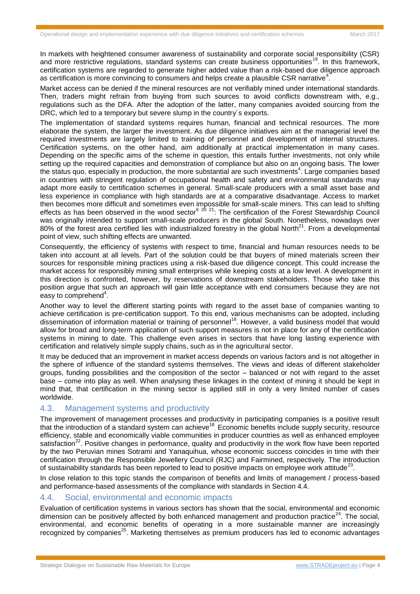In markets with heightened consumer awareness of sustainability and corporate social responsibility (CSR) and more restrictive regulations, standard systems can create business opportunities<sup>19</sup>. In this framework, certification systems are regarded to generate higher added value than a risk-based due diligence approach as certification is more convincing to consumers and helps create a plausible CSR narrative<sup>4</sup>[.](#page-0-2)

Market access can be denied if the mineral resources are not verifiably mined under international standards. Then, traders might refrain from buying from such sources to avoid conflicts downstream with, e.g., regulations such as the DFA. After the adoption of the latter, many companies avoided sourcing from the DRC, which led to a temporary but severe slump in the country´s exports.

The implementation of standard systems requires human, financial and technical resources. The more elaborate the system, the larger the investment. As due diligence initiatives aim at the managerial level the required investments are largely limited to training of personnel and development of internal structures. Certification systems, on the other hand, aim additionally at practical implementation in many cases. Depending on the specific aims of the scheme in question, this entails further investments, not only while setting up the required capacities and demonstration of compliance but also on an ongoing basis. The lower the [s](#page-0-2)tatus quo, especially in production, the more substantial are such investments<sup>4</sup>. Large companies based in countries with stringent regulation of occupational health and safety and environmental standards may adapt more easily to certification schemes in general. Small-scale producers with a small asset base and less experience in compliance with high standards are at a comparative disadvantage. Access to market then becomes more difficult and sometimes even impossible for small-scale miners. This can lead to shifting effects as has been observed in the wood sector<sup>[6](#page-1-1) 20 21</sup>: The certification of the Forest Stewardship Council was originally intended to support small-scale producers in the global South. Nonetheless, nowadays over 80% of the forest area certified lies with industrialized forestry in the global North<sup>[21](#page-3-0)</sup>. From a developmental point of view, such shifting effects are unwanted.

<span id="page-3-0"></span>Consequently, the efficiency of systems with respect to time, financial and human resources needs to be taken into account at all levels. Part of the solution could be that buyers of mined materials screen their sources for responsible mining practices using a risk-based due diligence concept. This could increase the market access for responsibly mining small enterprises while keeping costs at a low level. A development in this direction is confronted, however, by reservations of downstream stakeholders. Those who take this position argue that such an approach will gain little acceptance with end consumers because they are not  $e$  easy to comprehen[d](#page-0-2)<sup>4</sup>.

Another way to level the different starting points with regard to the asset base of companies wanting to achieve certification is pre-certification support. To this end, various mechanisms can be adopted, including dissemination of information material or training of personnel<sup>[18](#page-2-0)</sup>. However, a valid business model that would allow for broad and long-term application of such support measures is not in place for any of the certification systems in mining to date. This challenge even arises in sectors that have long lasting experience with certification and relatively simple supply chains, such as in the agricultural sector.

It may be deduced that an improvement in market access depends on various factors and is not altogether in the sphere of influence of the standard systems themselves. The views and ideas of different stakeholder groups, funding possibilities and the composition of the sector – balanced or not with regard to the asset base – come into play as well. When analysing these linkages in the context of mining it should be kept in mind that, that certification in the mining sector is applied still in only a very limited number of cases worldwide.

## 4.3. Management systems and productivity

The improvement of management processes and productivity in participating companies is a positive result that the introduction of a standard system can achieve<sup>[18](#page-2-0)</sup> Economic benefits include supply security, resource efficiency, stable and economically viable communities in producer countries as well as enhanced employee satisfaction<sup>22</sup>. Positive changes in performance, quality and productivity in the work flow have been reported by the two Peruvian mines Sotrami and Yanaquihua, whose economic success coincides in time with their certification through the Responsible Jewellery Council (RJC) and Fairmined, respectively. The introduction of sustainability standards has been reported to lead to positive impacts on employee work attitude<sup>23</sup>.

In close relation to this topic stands the comparison of benefits and limits of management / process-based and performance-based assessments of the compliance with standards in Section 4.4.

## 4.4. Social, environmental and economic impacts

<span id="page-3-1"></span>Evaluation of certification systems in various sectors has shown that the social, environmental and economic dimension can be positively affected by both enhanced management and production practice $^{24}$ . The social, environmental, and economic benefits of operating in a more sustainable manner are increasingly recognized by companies<sup>25</sup>. Marketing themselves as premium producers has led to economic advantages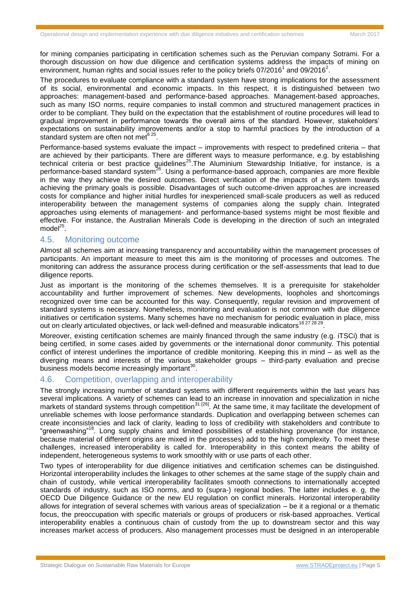for mining companies participating in certification schemes such as the Peruvian company Sotrami. For a thorough discussion on how due diligence and certification systems address the impacts of mining on environment, human rights and social issues refer to the policy briefs 07/20[1](#page-0-0)6<sup>1</sup> and 09/2016<sup>2</sup>[.](#page-0-1)

The procedures to evaluate compliance with a standard system have strong implications for the assessment of its social, environmental and economic impacts. In this respect, it is distinguished between two approaches: management-based and performance-based approaches. Management-based approaches, such as many ISO norms, require companies to install common and structured management practices in order to be compliant. They build on the expectation that the establishment of routine procedures will lead to gradual improvement in performance towards the overall aims of the standard. However, stakeholders' expectations on sustainability improvements and/or a stop to harmful practices by the introduction of a s[t](#page-1-1)andard system are often not met $^{625}$  $^{625}$  $^{625}$ .

Performance-based systems evaluate the impact – improvements with respect to predefined criteria – that are achieved by their participants. There are different ways to measure performance, e.g. by establishing technical criteria or best practice guidelines<sup>[25](#page-3-1)</sup>. The Aluminium Stewardship Initiative, for instance, is a performance-based standard system<sup>26</sup>. Using a performance-based approach, companies are more flexible in the way they achieve the desired outcomes. Direct verification of the impacts of a system towards achieving the primary goals is possible. Disadvantages of such outcome-driven approaches are increased costs for compliance and higher initial hurdles for inexperienced small-scale producers as well as reduced interoperability between the management systems of companies along the supply chain. Integrated approaches using elements of management- and performance-based systems might be most flexible and effective. For instance, the Australian Minerals Code is developing in the direction of such an integrated model<sup>[25](#page-3-1)</sup>.

## 4.5. Monitoring outcome

Almost all schemes aim at increasing transparency and accountability within the management processes of participants. An important measure to meet this aim is the monitoring of processes and outcomes. The monitoring can address the assurance process during certification or the self-assessments that lead to due diligence reports.

Just as important is the monitoring of the schemes themselves. It is a prerequisite for stakeholder accountability and further improvement of schemes. New developments, loopholes and shortcomings recognized over time can be accounted for this way. Consequently, regular revision and improvement of standard systems is necessary. Nonetheless, monitoring and evaluation is not common with due diligence initiatives or certification systems. Many schemes have no mechanism for periodic evaluation in place, miss out on clearly articulated objectives, or lack well-defined and measurable indicators<sup>[18](#page-2-0) 27 28 29</sup>.

<span id="page-4-1"></span>Moreover, existing certification schemes are mainly financed through the same industry (e.g. iTSCi) that is being certified, in some cases aided by governments or the international donor community. This potential conflict of interest underlines the importance of credible monitoring. Keeping this in mind – as well as the diverging means and interests of the various stakeholder groups – third-party evaluation and precise business models become increasingly important $^{30}$ .

## <span id="page-4-0"></span>4.6. Competition, overlapping and interoperability

The strongly increasing number of standard systems with different requirements within the last years has several implications. A variety of schemes can lead to an increase in innovation and specialization in niche markets of standard systems through competition<sup>31 [26]</sup>. At the same time, it may facilitate the development of unreliable schemes with loose performance standards. Duplication and overlapping between schemes can create inconsistencies and lack of clarity, leading to loss of credibility with stakeholders and contribute to "greenwashing"[18](#page-2-0). Long supply chains and limited possibilities of establishing provenance (for instance, because material of different origins are mixed in the processes) add to the high complexity. To meet these challenges, increased interoperability is called for. Interoperability in this context means the ability of independent, heterogeneous systems to work smoothly with or use parts of each other.

Two types of interoperability for due diligence initiatives and certification schemes can be distinguished. Horizontal interoperability includes the linkages to other schemes at the same stage of the supply chain and chain of custody, while vertical interoperability facilitates smooth connections to internationally accepted standards of industry, such as ISO norms, and to (supra-) regional bodies. The latter includes e. g, the OECD Due Diligence Guidance or the new EU regulation on conflict minerals. Horizontal interoperability allows for integration of several schemes with various areas of specialization – be it a regional or a thematic focus, the preoccupation with specific materials or groups of producers or risk-based approaches. Vertical interoperability enables a continuous chain of custody from the up to downstream sector and this way increases market access of producers. Also management processes must be designed in an interoperable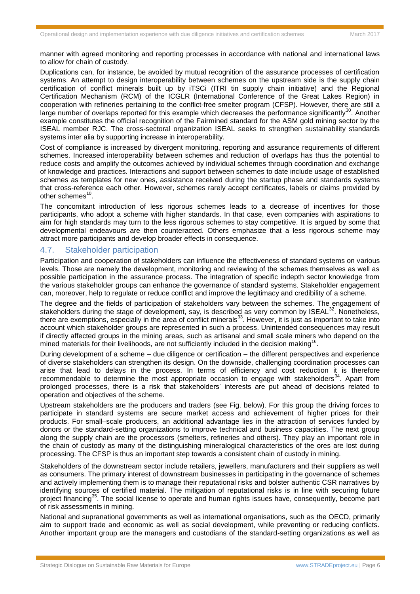manner with agreed monitoring and reporting processes in accordance with national and international laws to allow for chain of custody.

Duplications can, for instance, be avoided by mutual recognition of the assurance processes of certification systems. An attempt to design interoperability between schemes on the upstream side is the supply chain certification of conflict minerals built up by iTSCi (ITRI tin supply chain initiative) and the Regional Certification Mechanism (RCM) of the ICGLR (International Conference of the Great Lakes Region) in cooperation with refineries pertaining to the conflict-free smelter program (CFSP). However, there are still a large number of overlaps reported for this example which decreases the performance significantly<sup>[30](#page-4-0)</sup>. Another example constitutes the official recognition of the Fairmined standard for the ASM gold mining sector by the ISEAL member RJC. The cross-sectoral organization ISEAL seeks to strengthen sustainability standards systems inter alia by supporting increase in interoperability.

Cost of compliance is increased by divergent monitoring, reporting and assurance requirements of different schemes. Increased interoperability between schemes and reduction of overlaps has thus the potential to reduce costs and amplify the outcomes achieved by individual schemes through coordination and exchange of knowledge and practices. Interactions and support between schemes to date include usage of established schemes as templates for new ones, assistance received during the startup phase and standards systems that cross-reference each other. However, schemes rarely accept certificates, labels or claims provided by other schemes<sup>[10](#page-1-0)</sup>.

The concomitant introduction of less rigorous schemes leads to a decrease of incentives for those participants, who adopt a scheme with higher standards. In that case, even companies with aspirations to aim for high standards may turn to the less rigorous schemes to stay competitive. It is argued by some that developmental endeavours are then counteracted. Others emphasize that a less rigorous scheme may attract more participants and develop broader effects in consequence.

## 4.7. Stakeholder participation

Participation and cooperation of stakeholders can influence the effectiveness of standard systems on various levels. Those are namely the development, monitoring and reviewing of the schemes themselves as well as possible participation in the assurance process. The integration of specific indepth sector knowledge from the various stakeholder groups can enhance the governance of standard systems. Stakeholder engagement can, moreover, help to regulate or reduce conflict and improve the legitimacy and credibility of a scheme.

The degree and the fields of participation of stakeholders vary between the schemes. The engagement of stakeholders during the stage of development, say, is described as very common by ISEAL<sup>32</sup>. Nonetheless, there are exemptions, especially in the area of conflict minerals<sup>33</sup>. However, it is just as important to take into account which stakeholder groups are represented in such a process. Unintended consequences may result if directly affected groups in the mining areas, such as artisanal and small scale miners who depend on the mined materials for their livelihoods, are not sufficiently included in the decision making<sup>[16](#page-2-1)</sup>.

During development of a scheme – due diligence or certification – the different perspectives and experience of diverse stakeholders can strengthen its design. On the downside, challenging coordination processes can arise that lead to delays in the process. In terms of efficiency and cost reduction it is therefore recommendable to determine the most appropriate occasion to engage with stakeholders<sup>34</sup>. Apart from prolonged processes, there is a risk that stakeholders' interests are put ahead of decisions related to operation and objectives of the scheme.

Upstream stakeholders are the producers and traders (see Fig. below). For this group the driving forces to participate in standard systems are secure market access and achievement of higher prices for their products. For small–scale producers, an additional advantage lies in the attraction of services funded by donors or the standard-setting organizations to improve technical and business capacities. The next group along the supply chain are the processors (smelters, refineries and others). They play an important role in the chain of custody as many of the distinguishing mineralogical characteristics of the ores are lost during processing. The CFSP is thus an important step towards a consistent chain of custody in mining.

Stakeholders of the downstream sector include retailers, jewellers, manufacturers and their suppliers as well as consumers. The primary interest of downstream businesses in participating in the governance of schemes and actively implementing them is to manage their reputational risks and bolster authentic CSR narratives by identifying sources of certified material. The mitigation of reputational risks is in line with securing future project financing<sup>35</sup>. The social license to operate and human rights issues have, consequently, become part of risk assessments in mining.

National and supranational governments as well as international organisations, such as the OECD, primarily aim to support trade and economic as well as social development, while preventing or reducing conflicts. Another important group are the managers and custodians of the standard-setting organizations as well as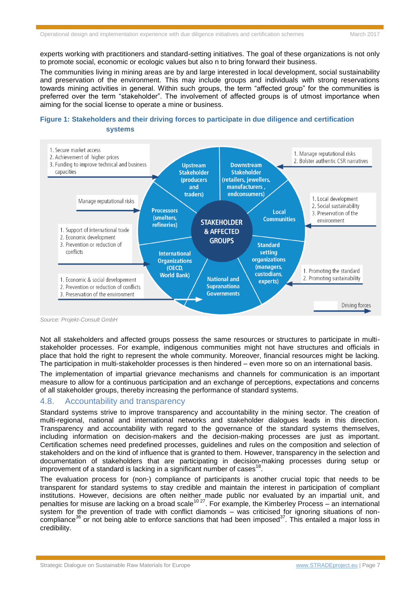experts working with practitioners and standard-setting initiatives. The goal of these organizations is not only to promote social, economic or ecologic values but also n to bring forward their business.

The communities living in mining areas are by and large interested in local development, social sustainability and preservation of the environment. This may include groups and individuals with strong reservations towards mining activities in general. Within such groups, the term "affected group" for the communities is preferred over the term "stakeholder". The involvement of affected groups is of utmost importance when aiming for the social license to operate a mine or business.

## **Figure 1: Stakeholders and their driving forces to participate in due diligence and certification systems**



*Source: Projekt-Consult GmbH*

Not all stakeholders and affected groups possess the same resources or structures to participate in multistakeholder processes. For example, indigenous communities might not have structures and officials in place that hold the right to represent the whole community. Moreover, financial resources might be lacking. The participation in multi-stakeholder processes is then hindered – even more so on an international basis.

The implementation of impartial grievance mechanisms and channels for communication is an important measure to allow for a continuous participation and an exchange of perceptions, expectations and concerns of all stakeholder groups, thereby increasing the performance of standard systems.

## 4.8. Accountability and transparency

Standard systems strive to improve transparency and accountability in the mining sector. The creation of multi-regional, national and international networks and stakeholder dialogues leads in this direction. Transparency and accountability with regard to the governance of the standard systems themselves, including information on decision-makers and the decision-making processes are just as important. Certification schemes need predefined processes, guidelines and rules on the composition and selection of stakeholders and on the kind of influence that is granted to them. However, transparency in the selection and documentation of stakeholders that are participating in decision-making processes during setup or improvement of a standard is lacking in a significant number of cases $^{18}$  $^{18}$  $^{18}$ .

The evaluation process for (non-) compliance of participants is another crucial topic that needs to be transparent for standard systems to stay credible and maintain the interest in participation of compliant institutions. However, decisions are often neither made public nor evaluated by an impartial unit, and penalties for misuse are lacking on a broad scale<sup>[10](#page-1-0) [27](#page-4-1)</sup>. For example, the Kimberley Process – an international system for the prevention of trade with conflict diamonds – was criticised for ignoring situations of noncompliance<sup>36</sup> or not being able to enforce sanctions that had been imposed<sup>37</sup>. This entailed a major loss in credibility.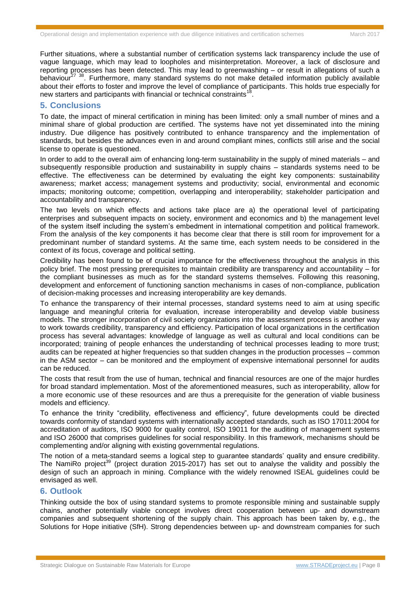Further situations, where a substantial number of certification systems lack transparency include the use of vague language, which may lead to loopholes and misinterpretation. Moreover, a lack of disclosure and reporting processes has been detected. This may lead to greenwashing – or result in allegations of such a behaviour<sup>[27](#page-4-1) 38</sup>. Furthermore, many standard systems do not make detailed information publicly available about their efforts to foster and improve the level of compliance of participants. This holds true especially for new starters and participants with financial or technical constraints<sup>1</sup> .

#### **5. Conclusions**

To date, the impact of mineral certification in mining has been limited: only a small number of mines and a minimal share of global production are certified. The systems have not yet disseminated into the mining industry. Due diligence has positively contributed to enhance transparency and the implementation of standards, but besides the advances even in and around compliant mines, conflicts still arise and the social license to operate is questioned.

In order to add to the overall aim of enhancing long-term sustainability in the supply of mined materials – and subsequently responsible production and sustainability in supply chains – standards systems need to be effective. The effectiveness can be determined by evaluating the eight key components: sustainability awareness; market access; management systems and productivity; social, environmental and economic impacts; monitoring outcome; competition, overlapping and interoperability; stakeholder participation and accountability and transparency.

The two levels on which effects and actions take place are a) the operational level of participating enterprises and subsequent impacts on society, environment and economics and b) the management level of the system itself including the system's embedment in international competition and political framework. From the analysis of the key components it has become clear that there is still room for improvement for a predominant number of standard systems. At the same time, each system needs to be considered in the context of its focus, coverage and political setting.

Credibility has been found to be of crucial importance for the effectiveness throughout the analysis in this policy brief. The most pressing prerequisites to maintain credibility are transparency and accountability – for the compliant businesses as much as for the standard systems themselves. Following this reasoning, development and enforcement of functioning sanction mechanisms in cases of non-compliance, publication of decision-making processes and increasing interoperability are key demands.

To enhance the transparency of their internal processes, standard systems need to aim at using specific language and meaningful criteria for evaluation, increase interoperability and develop viable business models. The stronger incorporation of civil society organizations into the assessment process is another way to work towards credibility, transparency and efficiency. Participation of local organizations in the certification process has several advantages: knowledge of language as well as cultural and local conditions can be incorporated; training of people enhances the understanding of technical processes leading to more trust; audits can be repeated at higher frequencies so that sudden changes in the production processes – common in the ASM sector – can be monitored and the employment of expensive international personnel for audits can be reduced.

The costs that result from the use of human, technical and financial resources are one of the major hurdles for broad standard implementation. Most of the aforementioned measures, such as interoperability, allow for a more economic use of these resources and are thus a prerequisite for the generation of viable business models and efficiency.

To enhance the trinity "credibility, effectiveness and efficiency", future developments could be directed towards conformity of standard systems with internationally accepted standards, such as ISO 17011:2004 for accreditation of auditors, ISO 9000 for quality control, ISO 19011 for the auditing of management systems and ISO 26000 that comprises guidelines for social responsibility. In this framework, mechanisms should be complementing and/or aligning with existing governmental regulations.

The notion of a meta-standard seems a logical step to guarantee standards' quality and ensure credibility. The NamiRo project<sup>39</sup> (project duration 2015-2017) has set out to analyse the validity and possibly the design of such an approach in mining. Compliance with the widely renowned ISEAL guidelines could be envisaged as well.

## **6. Outlook**

Thinking outside the box of using standard systems to promote responsible mining and sustainable supply chains, another potentially viable concept involves direct cooperation between up- and downstream companies and subsequent shortening of the supply chain. This approach has been taken by, e.g., the Solutions for Hope initiative (SfH). Strong dependencies between up- and downstream companies for such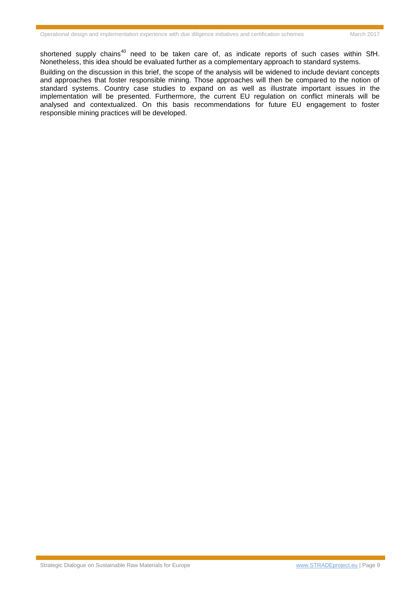shortened supply chains<sup>40</sup> need to be taken care of, as indicate reports of such cases within SfH. Nonetheless, this idea should be evaluated further as a complementary approach to standard systems.

Building on the discussion in this brief, the scope of the analysis will be widened to include deviant concepts and approaches that foster responsible mining. Those approaches will then be compared to the notion of standard systems. Country case studies to expand on as well as illustrate important issues in the implementation will be presented. Furthermore, the current EU regulation on conflict minerals will be analysed and contextualized. On this basis recommendations for future EU engagement to foster responsible mining practices will be developed.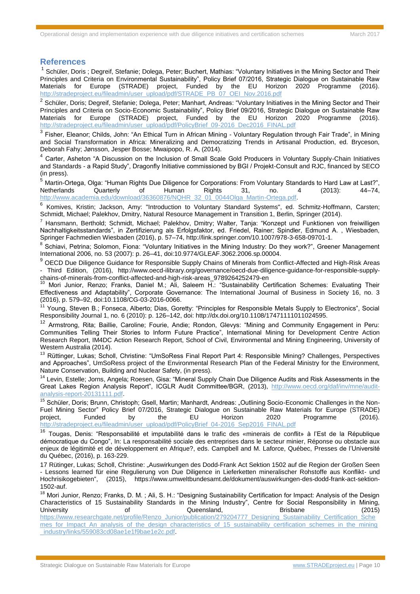#### **References**

<sup>1</sup> Schüler, Doris ; Degreif, Stefanie; Dolega, Peter; Buchert, Mathias: "Voluntary Initiatives in the Mining Sector and Their Principles and Criteria on Environmental Sustainability", Policy Brief 07/2016, Strategic Dialogue on Sustainable Raw Materials for Europe (STRADE) project, Funded by the EU Horizon 2020 Programme (2016). [http://stradeproject.eu/fileadmin/user\\_upload/pdf/STRADE\\_PB\\_07\\_OEI\\_Nov.2016.pdf](http://stradeproject.eu/fileadmin/user_upload/pdf/STRADE_PB_07_OEI_Nov.2016.pdf)

<sup>2</sup> Schüler, Doris; Degreif, Stefanie; Dolega, Peter; Manhart, Andreas: "Voluntary Initiatives in the Mining Sector and Their Principles and Criteria on Socio-Economic Sustainability", Policy Brief 09/2016, Strategic Dialogue on Sustainable Raw Materials for Europe (STRADE) project, Funded by the EU Horizon 2020 Programme (2016). [http://stradeproject.eu/fileadmin/user\\_upload/pdf/PolicyBrief\\_09-2016\\_Dec2016\\_FINAL.pdf](http://stradeproject.eu/fileadmin/user_upload/pdf/PolicyBrief_09-2016_Dec2016_FINAL.pdf)

<sup>3</sup> Fisher, Eleanor; Childs, John: "An Ethical Turn in African Mining - Voluntary Regulation through Fair Trade", in Mining and Social Transformation in Africa: Mineralizing and Democratizing Trends in Artisanal Production, ed. Bryceson, Deborah Fahy; Jønsson, Jesper Bosse; Mwaipopo, R. A, (2014).

4 Carter, Asheton "A Discussion on the Inclusion of Small Scale Gold Producers in Voluntary Supply-Chain Initiatives and Standards - a Rapid Study", Dragonfly Initiative commissioned by BGI / Projekt-Consult and RJC, financed by SECO (in press).

<sup>5</sup> Martin-Ortega, Olga: "Human Rights Due Diligence for Corporations: From Voluntary Standards to Hard Law at Last?",<br>Netherlands Quarterly of Human Rights 31. no. 4 (2013): 44–74. Netherlands Quarterly of Human Rights 31, no. 4 (2013): 44–74, [http://www.academia.edu/download/36360876/NQHR\\_32\\_01\\_0044Olga\\_Martin-Ortega.pdf.](http://www.academia.edu/download/36360876/NQHR_32_01_0044Olga_Martin-Ortega.pdf)

<sup>6</sup> Komives, Kristin; Jackson, Amy: "Introduction to Voluntary Standard Systems", ed. Schmitz-Hoffmann, Carsten; Schmidt, Michael; Palekhov, Dmitry, Natural Resource Management in Transition 1, Berlin, Springer (2014).

<sup>7</sup> Hansmann, Berthold; Schmidt, Michael; Palekhov, Dmitry; Walter, Tanja: "Konzept und Funktionen von freiwilligen Nachhaltigkeitsstandards", in Zertifizierung als Erfolgsfaktor, ed. Friedel, Rainer; Spindler, Edmund A. , Wiesbaden, Springer Fachmedien Wiesbaden (2016), p. 57–74, [http://link.springer.com/10.1007/978-3-658-09701-1.](http://link.springer.com/10.1007/978-3-658-09701-1)

<sup>8</sup> Schiavi, Petrina; Solomon, Fiona: "Voluntary Initiatives in the Mining Industry: Do they work?", Greener Management International 2006, no. 53 (2007): p. 26–41, doi:10.9774/GLEAF.3062.2006.sp.00004.

<sup>9</sup> OECD Due Diligence Guidance for Responsible Supply Chains of Minerals from Conflict-Affected and High-Risk Areas - Third Edition, (2016), http://www.oecd-ilibrary.org/governance/oecd-due-diligence-guidance-for-responsible-supplychains-of-minerals-from-conflict-affected-and-high-risk-areas\_9789264252479-en

<sup>10</sup> Mori Junior, Renzo; Franks, Daniel M.; Ali, Saleem H.: "Sustainability Certification Schemes: Evaluating Their Effectiveness and Adaptability", Corporate Governance: The International Journal of Business in Society 16, no. 3 (2016), p. 579–92, doi:10.1108/CG-03-2016-0066.

<sup>11</sup> Young, Steven B.; Fonseca, Alberto; Dias, Goretty: "Principles for Responsible Metals Supply to Electronics", Social Responsibility Journal 1, no. 6 (2010): p. 126–142, doi: http://dx.doi.org/10.1108/17471111011024595.

<sup>12</sup> Armstrong, Rita; Baillie, Caroline; Fourie, Andie; Rondon, Glevys: "Mining and Community Engagement in Peru: Communities Telling Their Stories to Inform Future Practice", International Mining for Development Centre Action Research Report, IM4DC Action Research Report, School of Civil, Environmental and Mining Engineering, University of Western Australia (2014).

<sup>13</sup> Rüttinger, Lukas; Scholl, Christine: "UmSoRess Final Report Part 4: Responsible Mining? Challenges, Perspectives and Approaches", UmSoRess project of the Environmental Research Plan of the Federal Ministry for the Environment, Nature Conservation, Building and Nuclear Safety, (in press).

<sup>14</sup> Levin, Estelle; Jorns, Angela; Roesen, Gisa: "Mineral Supply Chain Due Diligence Audits and Risk Assessments in the Great Lakes Region Analysis Report", ICGLR Audit Committee/BGR, (2013), [http://www.oecd.org/daf/inv/mne/audit](http://www.oecd.org/daf/inv/mne/audit-analysis-report-20131111.pdf)[analysis-report-20131111.pdf.](http://www.oecd.org/daf/inv/mne/audit-analysis-report-20131111.pdf)

<sup>15</sup> Schüler, Doris; Brunn, Christoph; Gsell, Martin; Manhardt, Andreas: "Outlining Socio-Economic Challenges in the Non-Fuel Mining Sector" Policy Brief 07/2016, Strategic Dialogue on Sustainable Raw Materials for Europe (STRADE) project, Funded by the EU Horizon 2020 Programme (2016). [http://stradeproject.eu/fileadmin/user\\_upload/pdf/PolicyBrief\\_04-2016\\_Sep2016\\_FINAL.pdf](http://stradeproject.eu/fileadmin/user_upload/pdf/PolicyBrief_04-2016_Sep2016_FINAL.pdf)

<sup>16</sup> Tougas, Denis: "Responsabilité et imputabilité dans le trafic des «minerais de conflit» à l'Est de la République démocratique du Congo", In: La responsabilité sociale des entreprises dans le secteur minier, Réponse ou obstacle aux enjeux de légitimité et de développement en Afrique?, eds. Campbell and M. Laforce, Québec, Presses de l'Université du Québec, (2016), p. 163-229.

17 Rütinger, Lukas; Scholl, Christine: "Auswirkungen des Dodd-Frank Act Sektion 1502 auf die Region der Großen Seen - Lessons learned für eine Regulierung von Due Diligence in Lieferketten mineralischer Rohstoffe aus Konflikt- und Hochrisikogebieten", (2015), [https://www.umweltbundesamt.de/dokument/auswirkungen-des-dodd-frank-act-sektion-](https://www.umweltbundesamt.de/dokument/auswirkungen-des-dodd-frank-act-sektion-1502-auf)[1502-auf.](https://www.umweltbundesamt.de/dokument/auswirkungen-des-dodd-frank-act-sektion-1502-auf)

<sup>18</sup> Mori Junior, Renzo; Franks, D. M.; Ali, S. H.: "Designing Sustainability Certification for Impact: Analysis of the Design Characteristics of 15 Sustainability Standards in the Mining Industry", Centre for Social Responsibility in Mining, University **Orchogle Cueensland, COVID-S** Brisbane (2015)

[https://www.researchgate.net/profile/Renzo\\_Junior/publication/279204777\\_Designing\\_Sustainability\\_Certification\\_Sche](https://www.researchgate.net/profile/Renzo_Junior/publication/279204777_Designing_Sustainability_Certification_Schemes_for_Impact_An_analysis_of_the_design_characteristics_of_15_sustainability_certification_schemes_in_the_mining_industry/links/559083cd08ae1e1f9bae1e2c.pdf) [mes\\_for\\_Impact\\_An\\_analysis\\_of\\_the\\_design\\_characteristics\\_of\\_15\\_sustainability\\_certification\\_schemes\\_in\\_the\\_mining](https://www.researchgate.net/profile/Renzo_Junior/publication/279204777_Designing_Sustainability_Certification_Schemes_for_Impact_An_analysis_of_the_design_characteristics_of_15_sustainability_certification_schemes_in_the_mining_industry/links/559083cd08ae1e1f9bae1e2c.pdf) [\\_industry/links/559083cd08ae1e1f9bae1e2c.pdf.](https://www.researchgate.net/profile/Renzo_Junior/publication/279204777_Designing_Sustainability_Certification_Schemes_for_Impact_An_analysis_of_the_design_characteristics_of_15_sustainability_certification_schemes_in_the_mining_industry/links/559083cd08ae1e1f9bae1e2c.pdf)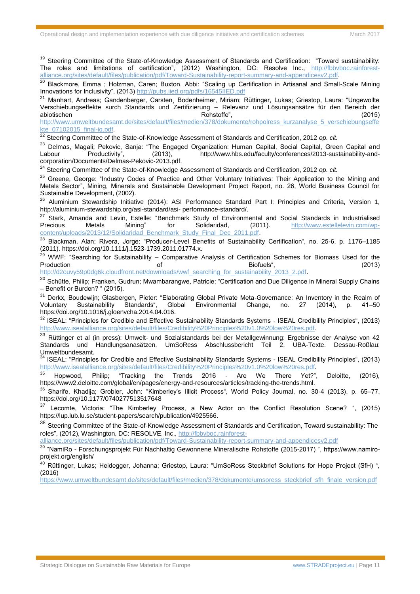<sup>19</sup> Steering Committee of the State-of-Knowledge Assessment of Standards and Certification: "Toward sustainability: The roles and limitations of certification", (2012) Washington, DC: Resolve Inc., [http://fbbvboc.rainforest](http://fbbvboc.rainforest-alliance.org/sites/default/files/publication/pdf/Toward-Sustainability-report-summary-and-appendicesv2.pdf)[alliance.org/sites/default/files/publication/pdf/Toward-Sustainability-report-summary-and-appendicesv2.pdf.](http://fbbvboc.rainforest-alliance.org/sites/default/files/publication/pdf/Toward-Sustainability-report-summary-and-appendicesv2.pdf)

<sup>20</sup> Blackmore. Emma : Holzman, Caren; Buxton, Abbi: "Scaling up Certification in Artisanal and Small-Scale Mining Innovations for Inclusivity", (2013)<http://pubs.iied.org/pdfs/16545IIED.pdf>

<sup>21</sup> Manhart, Andreas; Gandenberger, Carsten, Bodenheimer, Miriam; Rüttinger, Lukas; Griestop, Laura: "Ungewollte Verschiebungseffekte surch Standards und Zertifizierung – Relevanz und Lösungsansätze für den Bereich der abiotischen Rohstoffe", (2015)

[http://www.umweltbundesamt.de/sites/default/files/medien/378/dokumente/rohpolress\\_kurzanalyse\\_5\\_verschiebungseffe](http://www.umweltbundesamt.de/sites/default/files/medien/378/dokumente/rohpolress_kurzanalyse_5_verschiebungseffekte_07102015_final-ig.pdf) [kte\\_07102015\\_final-ig.pdf.](http://www.umweltbundesamt.de/sites/default/files/medien/378/dokumente/rohpolress_kurzanalyse_5_verschiebungseffekte_07102015_final-ig.pdf)

22 Steering Committee of the State-of-Knowledge Assessment of Standards and Certification, 2012 *op. cit.* 

<sup>23</sup> Delmas, Magali; Pekovic, Sanja: "The Engaged Organization: Human Capital, Social Capital, Green Capital and<br>Labour Productivity", (2013), http://www.hbs.edu/faculty/conferences/2013-sustainability-andLabour Productivity", (2013), [http://www.hbs.edu/faculty/conferences/2013-sustainability-and](http://www.hbs.edu/faculty/conferences/2013-sustainability-and-corporation/Documents/Delmas-Pekovic-2013.pdf)[corporation/Documents/Delmas-Pekovic-2013.pdf.](http://www.hbs.edu/faculty/conferences/2013-sustainability-and-corporation/Documents/Delmas-Pekovic-2013.pdf)

<sup>24</sup> Steering Committee of the State-of-Knowledge Assessment of Standards and Certification, 2012 *op. cit.*

<sup>25</sup> Greene. George: "Industry Codes of Practice and Other Voluntary Initiatives: Their Application to the Mining and Metals Sector", Mining, Minerals and Sustainable Development Project Report, no. 26, World Business Council for Sustainable Development, (2002).

<sup>26</sup> Aluminium Stewardship Initiative (2014): ASI Performance Standard Part I: Principles and Criteria, Version 1, http://aluminium-stewardship.org/asi-standard/asi- performance-standard/.

<sup>27</sup> Stark, Amanda and Levin, Estelle: "Benchmark Study of Environmental and Social Standards in Industrialised Precious Metals Mining" for Solidaridad, (2011). [http://www.estellelevin.com/wp](http://www.estellelevin.com/wp-content/uploads/2013/12/Solidaridad_Benchmark_Study_Final_Dec_2011.pdf)[content/uploads/2013/12/Solidaridad\\_Benchmark\\_Study\\_Final\\_Dec\\_2011.pdf.](http://www.estellelevin.com/wp-content/uploads/2013/12/Solidaridad_Benchmark_Study_Final_Dec_2011.pdf)

<sup>28</sup> Blackman, Alan; Rivera, Jorge: "Producer-Level Benefits of Sustainability Certification", no. 25-6, p. 1176-1185 (2011). [https://doi.org/10.1111/j.1523-1739.2011.01774.x.](https://doi.org/10.1111/j.1523-1739.2011.01774.x)

<sup>29</sup> WWF: "Searching for Sustainability – Comparative Analysis of Certification Schemes for Biomass Used for the Production of Biofuels", (2013) [http://d2ouvy59p0dg6k.cloudfront.net/downloads/wwf\\_searching\\_for\\_sustainability\\_2013\\_2.pdf.](http://d2ouvy59p0dg6k.cloudfront.net/downloads/wwf_searching_for_sustainability_2013_2.pdf)

<sup>30</sup> Schütte, Philip; Franken, Gudrun; Mwambarangwe, Patricie: "Certification and Due Diligence in Mineral Supply Chains – Benefit or Burden? " (2015).

<sup>31</sup> Derkx, Boudewiin; Glasbergen, Pieter: "Elaborating Global Private Meta-Governance: An Inventory in the Realm of Voluntary Sustainability Standards", Global Environmental Change, no. 27 (2014), p. 41–50 https://doi.org/10.1016/j.gloenvcha.2014.04.016.

<sup>32</sup> ISEAL: "Principles for Credible and Effective Sustainability Standards Systems - ISEAL Credibility Principles", (2013) [http://www.isealalliance.org/sites/default/files/Credibility%20Principles%20v1.0%20low%20res.pdf.](http://www.isealalliance.org/sites/default/files/Credibility%20Principles%20v1.0%20low%20res.pdf)

33 Rüttinger et al (in press): Umwelt- und Sozialstandards bei der Metallgewinnung: Ergebnisse der Analyse von 42 Standards und Handlungsanasätzen. UmSoRess Abschlussbericht Teil 2. UBA-Texte. Dessau-Roßlau: Umweltbundesamt.

<sup>34</sup> ISEAL: "Principles for Credible and Effective Sustainability Standards Systems - ISEAL Credibility Principles", (2013) [http://www.isealalliance.org/sites/default/files/Credibility%20Principles%20v1.0%20low%20res.pdf.](http://www.isealalliance.org/sites/default/files/Credibility%20Principles%20v1.0%20low%20res.pdf)<br>35 Henviord Philip: "Tracking the Trands 2016 - Are We There Yet?"

<sup>35</sup> Hopwood, Philip; "Tracking the Trends 2016 - Are We There Yet?", Deloitte, (2016), https://www2.deloitte.com/global/en/pages/energy-and-resources/articles/tracking-the-trends.html.

<sup>36</sup> Sharife, Khadija; Grobler, John: "Kimberley's Illicit Process", World Policy Journal, no. 30-4 (2013), p. 65–77, https://doi.org/10.1177/0740277513517648

<sup>37</sup> Lecomte, Victoria: "The Kimberley Process, a New Actor on the Conflict Resolution Scene? ", (2015) https://lup.lub.lu.se/student-papers/search/publication/4925566.

<sup>38</sup> Steering Committee of the State-of-Knowledge Assessment of Standards and Certification, Toward sustainability: The roles", (2012), Washington, DC: RESOLVE, Inc., [http://fbbvboc.rainforest-](http://fbbvboc.rainforest-alliance.org/sites/default/files/publication/pdf/Toward-Sustainability-report-summary-and-appendicesv2.pdf)

[alliance.org/sites/default/files/publication/pdf/Toward-Sustainability-report-summary-and-appendicesv2.pdf](http://fbbvboc.rainforest-alliance.org/sites/default/files/publication/pdf/Toward-Sustainability-report-summary-and-appendicesv2.pdf)

<sup>39</sup> "NamiRo - Forschungsprojekt Für Nachhaltig Gewonnene Mineralische Rohstoffe (2015-2017) ", https://www.namiroprojekt.org/english/

<sup>40</sup> Rüttinger, Lukas; Heidegger, Johanna; Griestop, Laura: "UmSoRess Steckbrief Solutions for Hope Project (SfH) ", (2016)

[https://www.umweltbundesamt.de/sites/default/files/medien/378/dokumente/umsoress\\_steckbrief\\_sfh\\_finale\\_version.pdf](https://www.umweltbundesamt.de/sites/default/files/medien/378/dokumente/umsoress_steckbrief_sfh_finale_version.pdf)